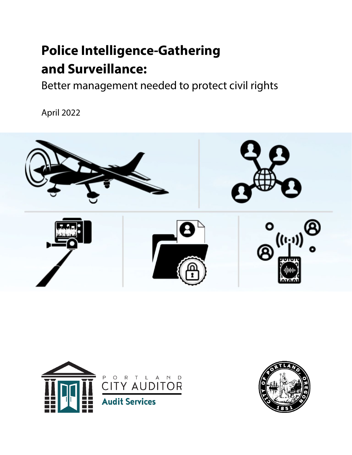# **Police Intelligence-Gathering and Surveillance:**

Better management needed to protect civil rights

April 2022





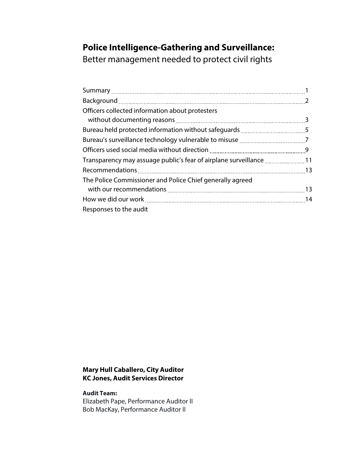# **Police Intelligence-Gathering and Surveillance:**

Better management needed to protect civil rights

| Officers collected information about protesters           |  |
|-----------------------------------------------------------|--|
|                                                           |  |
|                                                           |  |
|                                                           |  |
|                                                           |  |
|                                                           |  |
|                                                           |  |
| The Police Commissioner and Police Chief generally agreed |  |
|                                                           |  |
|                                                           |  |
| Responses to the audit                                    |  |

#### **Mary Hull Caballero, City Auditor KC Jones, Audit Services Director**

**Audit Team:** Elizabeth Pape, Performance Auditor II Bob MacKay, Performance Auditor II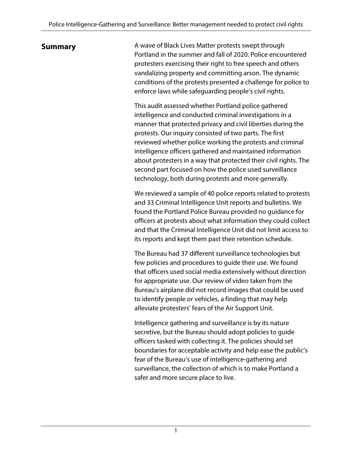**Summary A** wave of Black Lives Matter protests swept through Portland in the summer and fall of 2020. Police encountered protesters exercising their right to free speech and others vandalizing property and committing arson. The dynamic conditions of the protests presented a challenge for police to enforce laws while safeguarding people's civil rights.

> This audit assessed whether Portland police gathered intelligence and conducted criminal investigations in a manner that protected privacy and civil liberties during the protests. Our inquiry consisted of two parts. The first reviewed whether police working the protests and criminal intelligence officers gathered and maintained information about protesters in a way that protected their civil rights. The second part focused on how the police used surveillance technology, both during protests and more generally.

> We reviewed a sample of 40 police reports related to protests and 33 Criminal Intelligence Unit reports and bulletins. We found the Portland Police Bureau provided no guidance for officers at protests about what information they could collect and that the Criminal Intelligence Unit did not limit access to its reports and kept them past their retention schedule.

The Bureau had 37 different surveillance technologies but few policies and procedures to guide their use. We found that officers used social media extensively without direction for appropriate use. Our review of video taken from the Bureau's airplane did not record images that could be used to identify people or vehicles, a finding that may help alleviate protesters' fears of the Air Support Unit.

Intelligence gathering and surveillance is by its nature secretive, but the Bureau should adopt policies to guide officers tasked with collecting it. The policies should set boundaries for acceptable activity and help ease the public's fear of the Bureau's use of intelligence-gathering and surveillance, the collection of which is to make Portland a safer and more secure place to live.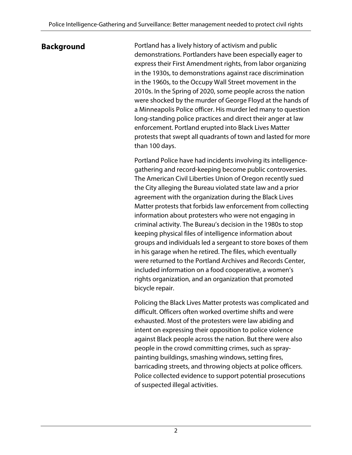**Background Portland has a lively history of activism and public** demonstrations. Portlanders have been especially eager to express their First Amendment rights, from labor organizing in the 1930s, to demonstrations against race discrimination in the 1960s, to the Occupy Wall Street movement in the 2010s. In the Spring of 2020, some people across the nation were shocked by the murder of George Floyd at the hands of a Minneapolis Police officer. His murder led many to question long-standing police practices and direct their anger at law enforcement. Portland erupted into Black Lives Matter protests that swept all quadrants of town and lasted for more than 100 days.

> Portland Police have had incidents involving its intelligencegathering and record-keeping become public controversies. The American Civil Liberties Union of Oregon recently sued the City alleging the Bureau violated state law and a prior agreement with the organization during the Black Lives Matter protests that forbids law enforcement from collecting information about protesters who were not engaging in criminal activity. The Bureau's decision in the 1980s to stop keeping physical files of intelligence information about groups and individuals led a sergeant to store boxes of them in his garage when he retired. The files, which eventually were returned to the Portland Archives and Records Center, included information on a food cooperative, a women's rights organization, and an organization that promoted bicycle repair.

> Policing the Black Lives Matter protests was complicated and difficult. Officers often worked overtime shifts and were exhausted. Most of the protesters were law abiding and intent on expressing their opposition to police violence against Black people across the nation. But there were also people in the crowd committing crimes, such as spraypainting buildings, smashing windows, setting fires, barricading streets, and throwing objects at police officers. Police collected evidence to support potential prosecutions of suspected illegal activities.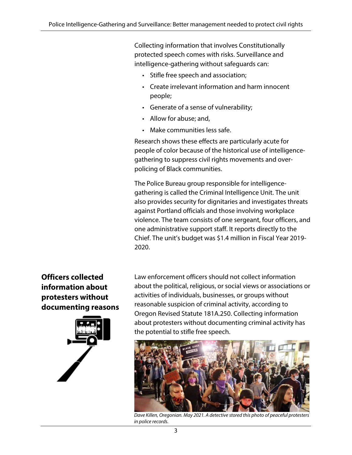Collecting information that involves Constitutionally protected speech comes with risks. Surveillance and intelligence-gathering without safeguards can:

- Stifle free speech and association;
- Create irrelevant information and harm innocent people;
- Generate of a sense of vulnerability;
- Allow for abuse; and,
- Make communities less safe.

Research shows these effects are particularly acute for people of color because of the historical use of intelligencegathering to suppress civil rights movements and overpolicing of Black communities.

The Police Bureau group responsible for intelligencegathering is called the Criminal Intelligence Unit. The unit also provides security for dignitaries and investigates threats against Portland officials and those involving workplace violence. The team consists of one sergeant, four officers, and one administrative support staff. It reports directly to the Chief. The unit's budget was \$1.4 million in Fiscal Year 2019- 2020.

### **Officers collected information about protesters without documenting reasons**



Law enforcement officers should not collect information about the political, religious, or social views or associations or activities of individuals, businesses, or groups without reasonable suspicion of criminal activity, according to Oregon Revised Statute 181A.250. Collecting information about protesters without documenting criminal activity has the potential to stifle free speech.



*Dave Killen, Oregonian. May 2021. A detective stored this photo of peaceful protesters in police records.*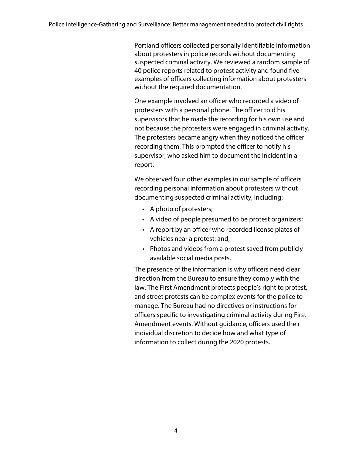Portland officers collected personally identifiable information about protesters in police records without documenting suspected criminal activity. We reviewed a random sample of 40 police reports related to protest activity and found five examples of officers collecting information about protesters without the required documentation.

One example involved an officer who recorded a video of protesters with a personal phone. The officer told his supervisors that he made the recording for his own use and not because the protesters were engaged in criminal activity. The protesters became angry when they noticed the officer recording them. This prompted the officer to notify his supervisor, who asked him to document the incident in a report.

We observed four other examples in our sample of officers recording personal information about protesters without documenting suspected criminal activity, including:

- A photo of protesters;
- A video of people presumed to be protest organizers;
- A report by an officer who recorded license plates of vehicles near a protest; and,
- Photos and videos from a protest saved from publicly available social media posts.

The presence of the information is why officers need clear direction from the Bureau to ensure they comply with the law. The First Amendment protects people's right to protest, and street protests can be complex events for the police to manage. The Bureau had no directives or instructions for officers specific to investigating criminal activity during First Amendment events. Without guidance, officers used their individual discretion to decide how and what type of information to collect during the 2020 protests.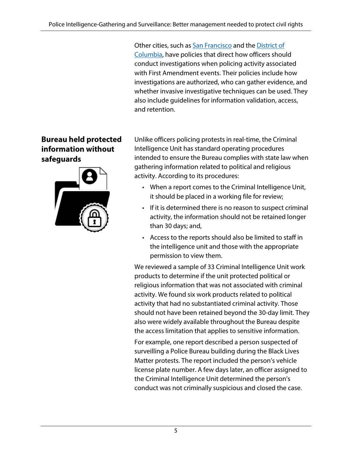Other cities, such as [San Francisco](https://www.sanfranciscopolice.org/sites/default/files/2018-11/DGO8.10%20Guidelines%20for%20First%20Amendment%20Activities.pdf) and th[e District of](https://code.dccouncil.us/us/dc/council/laws/docs/15-352.pdf)  [Columbia,](https://code.dccouncil.us/us/dc/council/laws/docs/15-352.pdf) have policies that direct how officers should conduct investigations when policing activity associated with First Amendment events. Their policies include how investigations are authorized, who can gather evidence, and whether invasive investigative techniques can be used. They also include guidelines for information validation, access, and retention.

Unlike officers policing protests in real-time, the Criminal Intelligence Unit has standard operating procedures intended to ensure the Bureau complies with state law when gathering information related to political and religious activity. According to its procedures:

- When a report comes to the Criminal Intelligence Unit, it should be placed in a working file for review;
- If it is determined there is no reason to suspect criminal activity, the information should not be retained longer than 30 days; and,
- Access to the reports should also be limited to staff in the intelligence unit and those with the appropriate permission to view them.

We reviewed a sample of 33 Criminal Intelligence Unit work products to determine if the unit protected political or religious information that was not associated with criminal activity. We found six work products related to political activity that had no substantiated criminal activity. Those should not have been retained beyond the 30-day limit. They also were widely available throughout the Bureau despite the access limitation that applies to sensitive information.

For example, one report described a person suspected of surveilling a Police Bureau building during the Black Lives Matter protests. The report included the person's vehicle license plate number. A few days later, an officer assigned to the Criminal Intelligence Unit determined the person's conduct was not criminally suspicious and closed the case.

### **Bureau held protected information without safeguards**

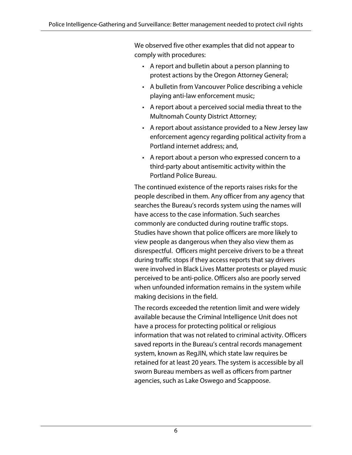We observed five other examples that did not appear to comply with procedures:

- A report and bulletin about a person planning to protest actions by the Oregon Attorney General;
- A bulletin from Vancouver Police describing a vehicle playing anti-law enforcement music;
- A report about a perceived social media threat to the Multnomah County District Attorney;
- A report about assistance provided to a New Jersey law enforcement agency regarding political activity from a Portland internet address; and,
- A report about a person who expressed concern to a third-party about antisemitic activity within the Portland Police Bureau.

The continued existence of the reports raises risks for the people described in them. Any officer from any agency that searches the Bureau's records system using the names will have access to the case information. Such searches commonly are conducted during routine traffic stops. Studies have shown that police officers are more likely to view people as dangerous when they also view them as disrespectful. Officers might perceive drivers to be a threat during traffic stops if they access reports that say drivers were involved in Black Lives Matter protests or played music perceived to be anti-police. Officers also are poorly served when unfounded information remains in the system while making decisions in the field.

The records exceeded the retention limit and were widely available because the Criminal Intelligence Unit does not have a process for protecting political or religious information that was not related to criminal activity. Officers saved reports in the Bureau's central records management system, known as RegJIN, which state law requires be retained for at least 20 years. The system is accessible by all sworn Bureau members as well as officers from partner agencies, such as Lake Oswego and Scappoose.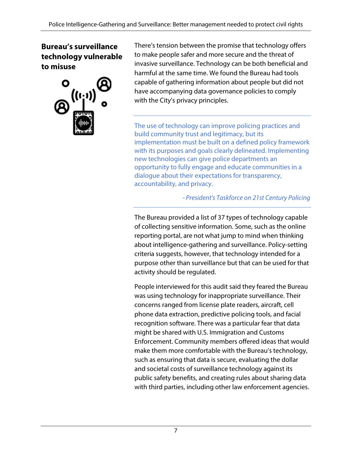### **Bureau's surveillance technology vulnerable to misuse**



There's tension between the promise that technology offers to make people safer and more secure and the threat of invasive surveillance. Technology can be both beneficial and harmful at the same time. We found the Bureau had tools capable of gathering information about people but did not have accompanying data governance policies to comply with the City's privacy principles.

The use of technology can improve policing practices and build community trust and legitimacy, but its implementation must be built on a defined policy framework with its purposes and goals clearly delineated. Implementing new technologies can give police departments an opportunity to fully engage and educate communities in a dialogue about their expectations for transparency, accountability, and privacy.

*- President's Taskforce on 21st Century Policing*

The Bureau provided a list of 37 types of technology capable of collecting sensitive information. Some, such as the online reporting portal, are not what jump to mind when thinking about intelligence-gathering and surveillance. Policy-setting criteria suggests, however, that technology intended for a purpose other than surveillance but that can be used for that activity should be regulated.

People interviewed for this audit said they feared the Bureau was using technology for inappropriate surveillance. Their concerns ranged from license plate readers, aircraft, cell phone data extraction, predictive policing tools, and facial recognition software. There was a particular fear that data might be shared with U.S. Immigration and Customs Enforcement. Community members offered ideas that would make them more comfortable with the Bureau's technology, such as ensuring that data is secure, evaluating the dollar and societal costs of surveillance technology against its public safety benefits, and creating rules about sharing data with third parties, including other law enforcement agencies.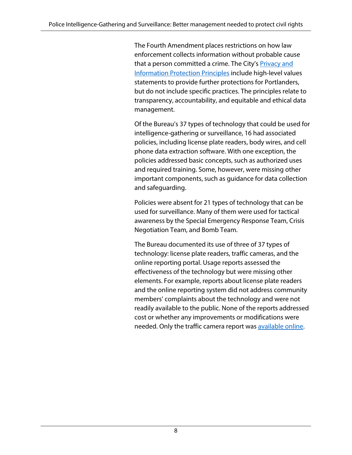The Fourth Amendment places restrictions on how law enforcement collects information without probable cause that a person committed a crime. The City's **Privacy and** [Information Protection Principles](https://static1.squarespace.com/static/5967c18bff7c50a0244ff42c/t/5d0aec446939ce00011ec049/1560996933477/COP_PIP_handout_June19_2019.pdf) include high-level values statements to provide further protections for Portlanders, but do not include specific practices. The principles relate to transparency, accountability, and equitable and ethical data management.

Of the Bureau's 37 types of technology that could be used for intelligence-gathering or surveillance, 16 had associated policies, including license plate readers, body wires, and cell phone data extraction software. With one exception, the policies addressed basic concepts, such as authorized uses and required training. Some, however, were missing other important components, such as guidance for data collection and safeguarding.

Policies were absent for 21 types of technology that can be used for surveillance. Many of them were used for tactical awareness by the Special Emergency Response Team, Crisis Negotiation Team, and Bomb Team.

The Bureau documented its use of three of 37 types of technology: license plate readers, traffic cameras, and the online reporting portal. Usage reports assessed the effectiveness of the technology but were missing other elements. For example, reports about license plate readers and the online reporting system did not address community members' complaints about the technology and were not readily available to the public. None of the reports addressed cost or whether any improvements or modifications were needed. Only the traffic camera report was [available online.](https://www.oregonlegislature.gov/citizen_engagement/Reports/2021%20Photo%20Enforcement%20Report.pdf)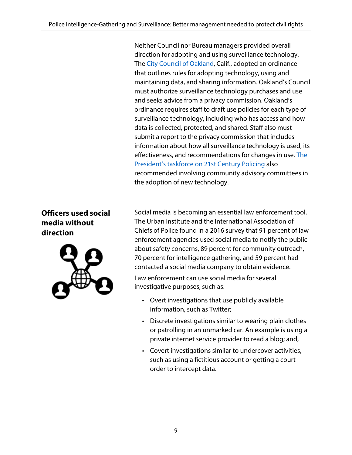Neither Council nor Bureau managers provided overall direction for adopting and using surveillance technology. The [City Council of Oakland,](https://oaklandca.s3.us-west-1.amazonaws.com/oakca1/groups/cityadministrator/documents/standard/oak070617.pdf) Calif., adopted an ordinance that outlines rules for adopting technology, using and maintaining data, and sharing information. Oakland's Council must authorize surveillance technology purchases and use and seeks advice from a privacy commission. Oakland's ordinance requires staff to draft use policies for each type of surveillance technology, including who has access and how data is collected, protected, and shared. Staff also must submit a report to the privacy commission that includes information about how all surveillance technology is used, its effectiveness, and recommendations for changes in use. [The](https://cops.usdoj.gov/pdf/taskforce/taskforce_finalreport.pdf)  [President's taskforce on 21st Century Policing](https://cops.usdoj.gov/pdf/taskforce/taskforce_finalreport.pdf) also recommended involving community advisory committees in the adoption of new technology.

### **Officers used social media without direction**



Social media is becoming an essential law enforcement tool. The Urban Institute and the International Association of Chiefs of Police found in a 2016 survey that 91 percent of law enforcement agencies used social media to notify the public about safety concerns, 89 percent for community outreach, 70 percent for intelligence gathering, and 59 percent had contacted a social media company to obtain evidence.

Law enforcement can use social media for several investigative purposes, such as:

- Overt investigations that use publicly available information, such as Twitter;
- Discrete investigations similar to wearing plain clothes or patrolling in an unmarked car. An example is using a private internet service provider to read a blog; and,
- Covert investigations similar to undercover activities, such as using a fictitious account or getting a court order to intercept data.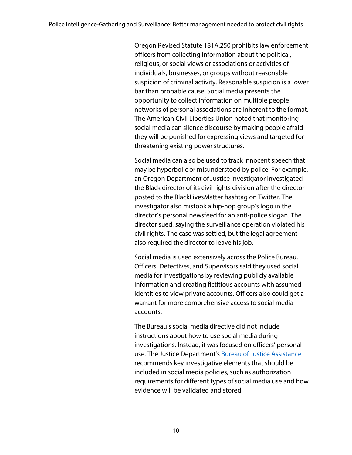Oregon Revised Statute 181A.250 prohibits law enforcement officers from collecting information about the political, religious, or social views or associations or activities of individuals, businesses, or groups without reasonable suspicion of criminal activity. Reasonable suspicion is a lower bar than probable cause. Social media presents the opportunity to collect information on multiple people networks of personal associations are inherent to the format. The American Civil Liberties Union noted that monitoring social media can silence discourse by making people afraid they will be punished for expressing views and targeted for threatening existing power structures.

Social media can also be used to track innocent speech that may be hyperbolic or misunderstood by police. For example, an Oregon Department of Justice investigator investigated the Black director of its civil rights division after the director posted to the BlackLivesMatter hashtag on Twitter. The investigator also mistook a hip-hop group's logo in the director's personal newsfeed for an anti-police slogan. The director sued, saying the surveillance operation violated his civil rights. The case was settled, but the legal agreement also required the director to leave his job.

Social media is used extensively across the Police Bureau. Officers, Detectives, and Supervisors said they used social media for investigations by reviewing publicly available information and creating fictitious accounts with assumed identities to view private accounts. Officers also could get a warrant for more comprehensive access to social media accounts.

The Bureau's social media directive did not include instructions about how to use social media during investigations. Instead, it was focused on officers' personal use. The Justice Department's [Bureau of Justice Assistance](https://bja.ojp.gov/sites/g/files/xyckuh186/files/media/document/developing_a_policy_on_the_use_of_social_media_in_intelligence_and_inves.pdf) recommends key investigative elements that should be included in social media policies, such as authorization requirements for different types of social media use and how evidence will be validated and stored.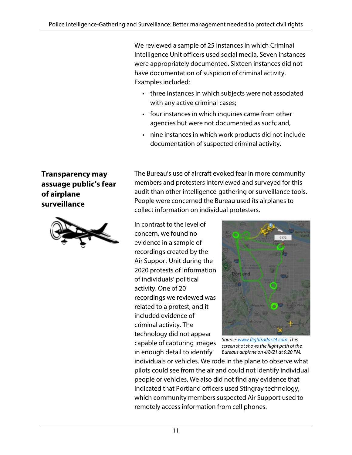We reviewed a sample of 25 instances in which Criminal Intelligence Unit officers used social media. Seven instances were appropriately documented. Sixteen instances did not have documentation of suspicion of criminal activity. Examples included:

- three instances in which subjects were not associated with any active criminal cases;
- four instances in which inquiries came from other agencies but were not documented as such; and,
- nine instances in which work products did not include documentation of suspected criminal activity.

### **Transparency may assuage public's fear of airplane surveillance**



The Bureau's use of aircraft evoked fear in more community members and protesters interviewed and surveyed for this audit than other intelligence-gathering or surveillance tools. People were concerned the Bureau used its airplanes to collect information on individual protesters.

In contrast to the level of concern, we found no evidence in a sample of recordings created by the Air Support Unit during the 2020 protests of information of individuals' political activity. One of 20 recordings we reviewed was related to a protest, and it included evidence of criminal activity. The technology did not appear capable of capturing images in enough detail to identify



*Source[: www.flightradar24.com.](http://www.flightradar24.com/) This screen shot shows the flight path of the Bureaus airplane on 4/8/21 at 9:20 PM.*

individuals or vehicles. We rode in the plane to observe what pilots could see from the air and could not identify individual people or vehicles. We also did not find any evidence that indicated that Portland officers used Stingray technology, which community members suspected Air Support used to remotely access information from cell phones.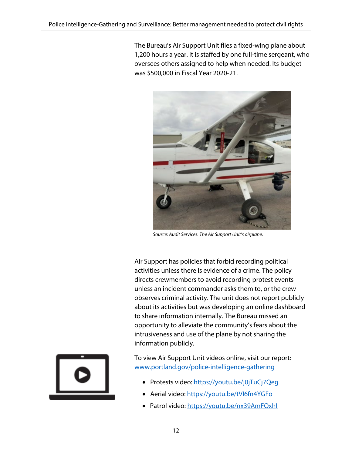The Bureau's Air Support Unit flies a fixed-wing plane about 1,200 hours a year. It is staffed by one full-time sergeant, who oversees others assigned to help when needed. Its budget was \$500,000 in Fiscal Year 2020-21.



*Source: Audit Services. The Air Support Unit's airplane.*

Air Support has policies that forbid recording political activities unless there is evidence of a crime. The policy directs crewmembers to avoid recording protest events unless an incident commander asks them to, or the crew observes criminal activity. The unit does not report publicly about its activities but was developing an online dashboard to share information internally. The Bureau missed an opportunity to alleviate the community's fears about the intrusiveness and use of the plane by not sharing the information publicly.



To view Air Support Unit videos online, visit our report: [www.portland.gov/police-intelligence-gathering](http://www.portland.gov/police-intelligence-gathering) 

- Protests video: https://youtu.be/j0jTuCj7Qeq
- Aerial video:<https://youtu.be/tVI6fn4YGFo>
- Patrol video:<https://youtu.be/nx39AmFOxhI>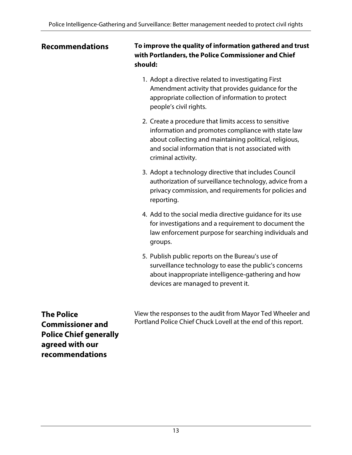#### **Recommendations**

**To improve the quality of information gathered and trust with Portlanders, the Police Commissioner and Chief should:**

- 1. Adopt a directive related to investigating First Amendment activity that provides guidance for the appropriate collection of information to protect people's civil rights.
- 2. Create a procedure that limits access to sensitive information and promotes compliance with state law about collecting and maintaining political, religious, and social information that is not associated with criminal activity.
- 3. Adopt a technology directive that includes Council authorization of surveillance technology, advice from a privacy commission, and requirements for policies and reporting.
- 4. Add to the social media directive guidance for its use for investigations and a requirement to document the law enforcement purpose for searching individuals and groups.
- 5. Publish public reports on the Bureau's use of surveillance technology to ease the public's concerns about inappropriate intelligence-gathering and how devices are managed to prevent it.

**The Police Commissioner and Police Chief generally agreed with our recommendations**

View the responses to the audit from Mayor Ted Wheeler and Portland Police Chief Chuck Lovell at the end of this report.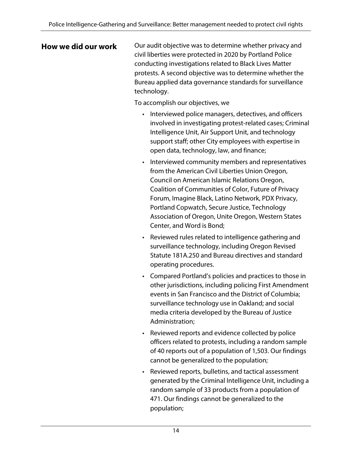**How we did our work** Our audit objective was to determine whether privacy and civil liberties were protected in 2020 by Portland Police conducting investigations related to Black Lives Matter protests. A second objective was to determine whether the Bureau applied data governance standards for surveillance technology.

To accomplish our objectives, we

- Interviewed police managers, detectives, and officers involved in investigating protest-related cases; Criminal Intelligence Unit, Air Support Unit, and technology support staff; other City employees with expertise in open data, technology, law, and finance;
- Interviewed community members and representatives from the American Civil Liberties Union Oregon, Council on American Islamic Relations Oregon, Coalition of Communities of Color, Future of Privacy Forum, Imagine Black, Latino Network, PDX Privacy, Portland Copwatch, Secure Justice, Technology Association of Oregon, Unite Oregon, Western States Center, and Word is Bond;
- Reviewed rules related to intelligence gathering and surveillance technology, including Oregon Revised Statute 181A.250 and Bureau directives and standard operating procedures.
- Compared Portland's policies and practices to those in other jurisdictions, including policing First Amendment events in San Francisco and the District of Columbia; surveillance technology use in Oakland; and social media criteria developed by the Bureau of Justice Administration;
- Reviewed reports and evidence collected by police officers related to protests, including a random sample of 40 reports out of a population of 1,503. Our findings cannot be generalized to the population;
- Reviewed reports, bulletins, and tactical assessment generated by the Criminal Intelligence Unit, including a random sample of 33 products from a population of 471. Our findings cannot be generalized to the population;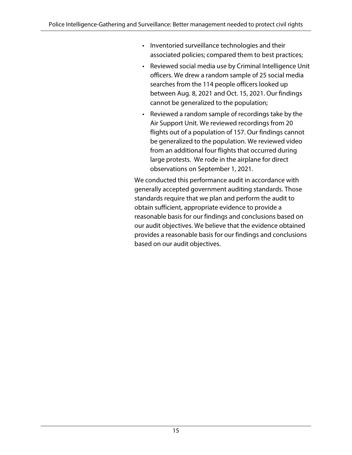- Inventoried surveillance technologies and their associated policies; compared them to best practices;
- Reviewed social media use by Criminal Intelligence Unit officers. We drew a random sample of 25 social media searches from the 114 people officers looked up between Aug. 8, 2021 and Oct. 15, 2021. Our findings cannot be generalized to the population;
- Reviewed a random sample of recordings take by the Air Support Unit. We reviewed recordings from 20 flights out of a population of 157. Our findings cannot be generalized to the population. We reviewed video from an additional four flights that occurred during large protests. We rode in the airplane for direct observations on September 1, 2021.

We conducted this performance audit in accordance with generally accepted government auditing standards. Those standards require that we plan and perform the audit to obtain sufficient, appropriate evidence to provide a reasonable basis for our findings and conclusions based on our audit objectives. We believe that the evidence obtained provides a reasonable basis for our findings and conclusions based on our audit objectives.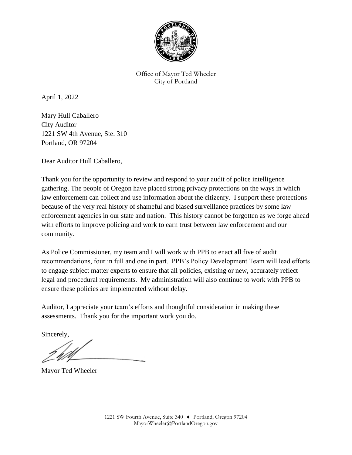

Office of Mayor Ted Wheeler City of Portland

April 1, 2022

Mary Hull Caballero City Auditor 1221 SW 4th Avenue, Ste. 310 Portland, OR 97204

Dear Auditor Hull Caballero,

Thank you for the opportunity to review and respond to your audit of police intelligence gathering. The people of Oregon have placed strong privacy protections on the ways in which law enforcement can collect and use information about the citizenry. I support these protections because of the very real history of shameful and biased surveillance practices by some law enforcement agencies in our state and nation. This history cannot be forgotten as we forge ahead with efforts to improve policing and work to earn trust between law enforcement and our community.

As Police Commissioner, my team and I will work with PPB to enact all five of audit recommendations, four in full and one in part. PPB's Policy Development Team will lead efforts to engage subject matter experts to ensure that all policies, existing or new, accurately reflect legal and procedural requirements. My administration will also continue to work with PPB to ensure these policies are implemented without delay.

Auditor, I appreciate your team's efforts and thoughtful consideration in making these assessments. Thank you for the important work you do.

Sincerely,

Mayor Ted Wheeler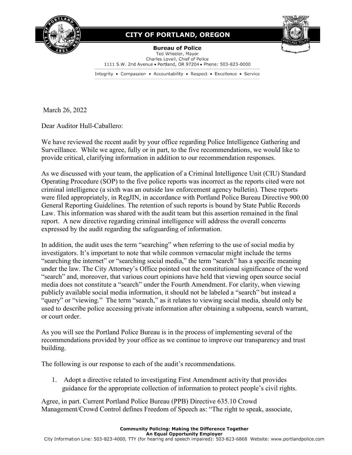

#### **CITY OF PORTLAND, OREGON**

**Bureau of Police** Ted Wheeler, Mayor Charles Lovell, Chief of Police 1111 S.W. 2nd Avenue . Portland, OR 97204 . Phone: 503-823-0000

Integrity • Compassion • Accountability • Respect • Excellence • Service

March 26, 2022

Dear Auditor Hull-Caballero:

We have reviewed the recent audit by your office regarding Police Intelligence Gathering and Surveillance. While we agree, fully or in part, to the five recommendations, we would like to provide critical, clarifying information in addition to our recommendation responses.

As we discussed with your team, the application of a Criminal Intelligence Unit (CIU) Standard Operating Procedure (SOP) to the five police reports was incorrect as the reports cited were not criminal intelligence (a sixth was an outside law enforcement agency bulletin). These reports were filed appropriately, in RegJIN, in accordance with Portland Police Bureau Directive 900.00 General Reporting Guidelines. The retention of such reports is bound by State Public Records Law. This information was shared with the audit team but this assertion remained in the final report. A new directive regarding criminal intelligence will address the overall concerns expressed by the audit regarding the safeguarding of information.

In addition, the audit uses the term "searching" when referring to the use of social media by investigators. It's important to note that while common vernacular might include the terms "searching the internet" or "searching social media," the term "search" has a specific meaning under the law. The City Attorney's Office pointed out the constitutional significance of the word "search" and, moreover, that various court opinions have held that viewing open source social media does not constitute a "search" under the Fourth Amendment. For clarity, when viewing publicly available social media information, it should not be labeled a "search" but instead a "query" or "viewing." The term "search," as it relates to viewing social media, should only be used to describe police accessing private information after obtaining a subpoena, search warrant, or court order.

As you will see the Portland Police Bureau is in the process of implementing several of the recommendations provided by your office as we continue to improve our transparency and trust building.

The following is our response to each of the audit's recommendations.

1. Adopt a directive related to investigating First Amendment activity that provides guidance for the appropriate collection of information to protect people's civil rights.

Agree, in part. Current Portland Police Bureau (PPB) Directive 635.10 Crowd Management/Crowd Control defines Freedom of Speech as: "The right to speak, associate,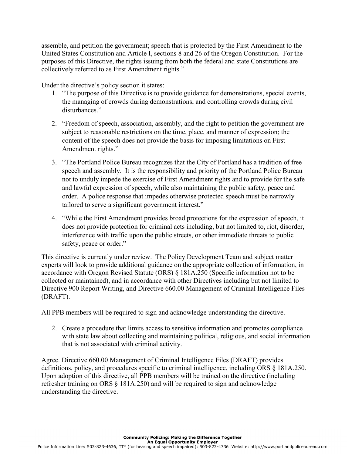assemble, and petition the government; speech that is protected by the First Amendment to the United States Constitution and Article I, sections 8 and 26 of the Oregon Constitution. For the purposes of this Directive, the rights issuing from both the federal and state Constitutions are collectively referred to as First Amendment rights."

Under the directive's policy section it states:

- 1. "The purpose of this Directive is to provide guidance for demonstrations, special events, the managing of crowds during demonstrations, and controlling crowds during civil disturbances."
- 2. "Freedom of speech, association, assembly, and the right to petition the government are subject to reasonable restrictions on the time, place, and manner of expression; the content of the speech does not provide the basis for imposing limitations on First Amendment rights."
- 3. "The Portland Police Bureau recognizes that the City of Portland has a tradition of free speech and assembly. It is the responsibility and priority of the Portland Police Bureau not to unduly impede the exercise of First Amendment rights and to provide for the safe and lawful expression of speech, while also maintaining the public safety, peace and order. A police response that impedes otherwise protected speech must be narrowly tailored to serve a significant government interest."
- 4. "While the First Amendment provides broad protections for the expression of speech, it does not provide protection for criminal acts including, but not limited to, riot, disorder, interference with traffic upon the public streets, or other immediate threats to public safety, peace or order."

This directive is currently under review. The Policy Development Team and subject matter experts will look to provide additional guidance on the appropriate collection of information, in accordance with Oregon Revised Statute (ORS) § 181A.250 (Specific information not to be collected or maintained), and in accordance with other Directives including but not limited to Directive 900 Report Writing, and Directive 660.00 Management of Criminal Intelligence Files (DRAFT).

All PPB members will be required to sign and acknowledge understanding the directive.

2. Create a procedure that limits access to sensitive information and promotes compliance with state law about collecting and maintaining political, religious, and social information that is not associated with criminal activity.

Agree. Directive 660.00 Management of Criminal Intelligence Files (DRAFT) provides definitions, policy, and procedures specific to criminal intelligence, including ORS § 181A.250. Upon adoption of this directive, all PPB members will be trained on the directive (including refresher training on ORS § 181A.250) and will be required to sign and acknowledge understanding the directive.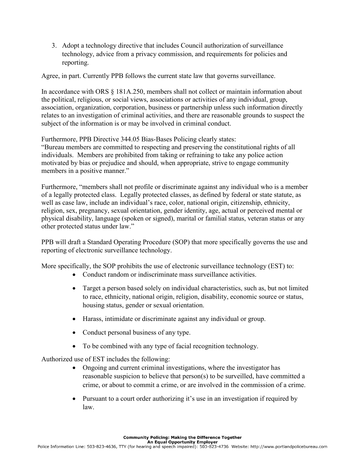3. Adopt a technology directive that includes Council authorization of surveillance technology, advice from a privacy commission, and requirements for policies and reporting.

Agree, in part. Currently PPB follows the current state law that governs surveillance.

In accordance with ORS § 181A.250, members shall not collect or maintain information about the political, religious, or social views, associations or activities of any individual, group, association, organization, corporation, business or partnership unless such information directly relates to an investigation of criminal activities, and there are reasonable grounds to suspect the subject of the information is or may be involved in criminal conduct.

Furthermore, PPB Directive 344.05 Bias-Bases Policing clearly states:

"Bureau members are committed to respecting and preserving the constitutional rights of all individuals. Members are prohibited from taking or refraining to take any police action motivated by bias or prejudice and should, when appropriate, strive to engage community members in a positive manner."

Furthermore, "members shall not profile or discriminate against any individual who is a member of a legally protected class. Legally protected classes, as defined by federal or state statute, as well as case law, include an individual's race, color, national origin, citizenship, ethnicity, religion, sex, pregnancy, sexual orientation, gender identity, age, actual or perceived mental or physical disability, language (spoken or signed), marital or familial status, veteran status or any other protected status under law."

PPB will draft a Standard Operating Procedure (SOP) that more specifically governs the use and reporting of electronic surveillance technology.

More specifically, the SOP prohibits the use of electronic surveillance technology (EST) to:

- Conduct random or indiscriminate mass surveillance activities.
- Target a person based solely on individual characteristics, such as, but not limited to race, ethnicity, national origin, religion, disability, economic source or status, housing status, gender or sexual orientation.
- Harass, intimidate or discriminate against any individual or group.
- Conduct personal business of any type.
- To be combined with any type of facial recognition technology.

Authorized use of EST includes the following:

- Ongoing and current criminal investigations, where the investigator has reasonable suspicion to believe that person(s) to be surveilled, have committed a crime, or about to commit a crime, or are involved in the commission of a crime.
- Pursuant to a court order authorizing it's use in an investigation if required by law.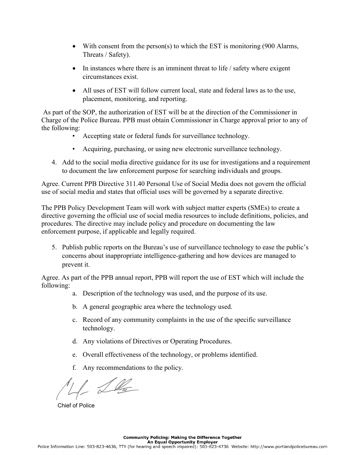- With consent from the person(s) to which the EST is monitoring (900 Alarms, Threats / Safety).
- In instances where there is an imminent threat to life / safety where exigent circumstances exist.
- All uses of EST will follow current local, state and federal laws as to the use, placement, monitoring, and reporting.

 As part of the SOP, the authorization of EST will be at the direction of the Commissioner in Charge of the Police Bureau. PPB must obtain Commissioner in Charge approval prior to any of the following:

- Accepting state or federal funds for surveillance technology.
- Acquiring, purchasing, or using new electronic surveillance technology.
- 4. Add to the social media directive guidance for its use for investigations and a requirement to document the law enforcement purpose for searching individuals and groups.

Agree. Current PPB Directive 311.40 Personal Use of Social Media does not govern the official use of social media and states that official uses will be governed by a separate directive.

The PPB Policy Development Team will work with subject matter experts (SMEs) to create a directive governing the official use of social media resources to include definitions, policies, and procedures. The directive may include policy and procedure on documenting the law enforcement purpose, if applicable and legally required.

5. Publish public reports on the Bureau's use of surveillance technology to ease the public's concerns about inappropriate intelligence-gathering and how devices are managed to prevent it.

Agree. As part of the PPB annual report, PPB will report the use of EST which will include the following:

- a. Description of the technology was used, and the purpose of its use.
- b. A general geographic area where the technology used.
- c. Record of any community complaints in the use of the specific surveillance technology.
- d. Any violations of Directives or Operating Procedures.
- e. Overall effectiveness of the technology, or problems identified.
- f. Any recommendations to the policy.

 $\frac{1}{2}$ 

Chief of Police